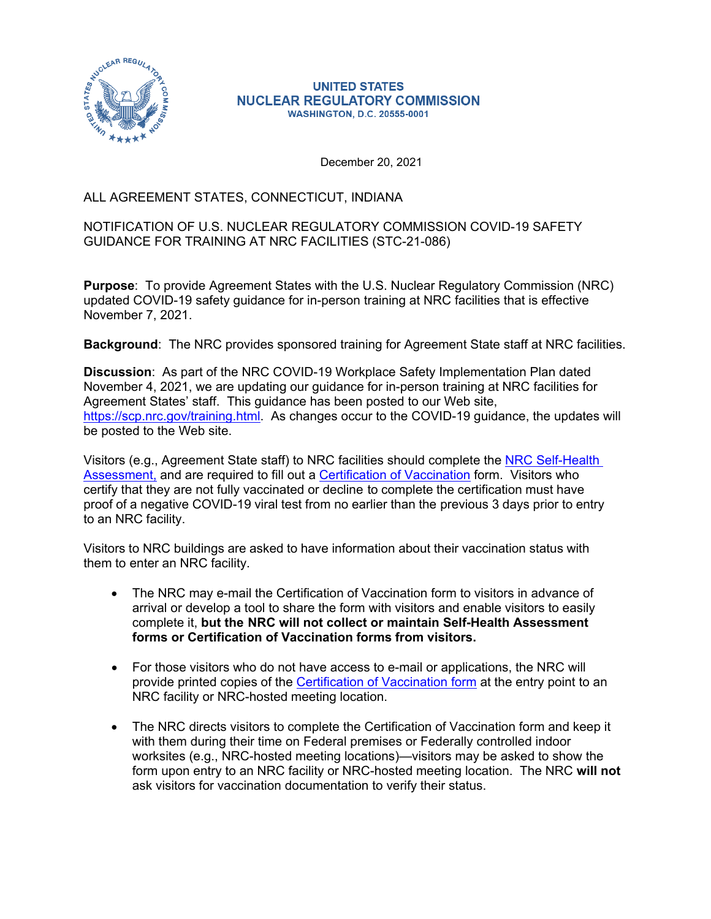

#### **UNITED STATES NUCLEAR REGULATORY COMMISSION WASHINGTON, D.C. 20555-0001**

December 20, 2021

### ALL AGREEMENT STATES, CONNECTICUT, INDIANA

### NOTIFICATION OF U.S. NUCLEAR REGULATORY COMMISSION COVID-19 SAFETY GUIDANCE FOR TRAINING AT NRC FACILITIES (STC-21-086)

**Purpose**: To provide Agreement States with the U.S. Nuclear Regulatory Commission (NRC) updated COVID-19 safety guidance for in-person training at NRC facilities that is effective November 7, 2021.

**Background**: The NRC provides sponsored training for Agreement State staff at NRC facilities.

**Discussion**: As part of the NRC COVID-19 Workplace Safety Implementation Plan dated November 4, 2021, we are updating our guidance for in-person training at NRC facilities for Agreement States' staff. This guidance has been posted to our Web site, <https://scp.nrc.gov/training.html>. As changes occur to the COVID-19 guidance, the updates will be posted to the Web site.

Visitors (e.g., Agreement State staff) to NRC facilities should complete the [NRC Self-Health](https://www.nrc.gov/about-nrc/covid-19/index.html)  [Assessment,](https://www.nrc.gov/about-nrc/covid-19/index.html) and are required to fill out a [Certification of Vaccination](https://www.saferfederalworkforce.gov/downloads/CertificationVaccinationPRAv7.pdf) form. Visitors who certify that they are not fully vaccinated or decline to complete the certification must have proof of a negative COVID-19 viral test from no earlier than the previous 3 days prior to entry to an NRC facility.

Visitors to NRC buildings are asked to have information about their vaccination status with them to enter an NRC facility.

- The NRC may e-mail the Certification of Vaccination form to visitors in advance of arrival or develop a tool to share the form with visitors and enable visitors to easily complete it, **but the NRC will not collect or maintain Self-Health Assessment forms or Certification of Vaccination forms from visitors.**
- For those visitors who do not have access to e-mail or applications, the NRC will provide printed copies of the [Certification of Vaccination form a](https://www.saferfederalworkforce.gov/downloads/CertificationVaccinationPRAv7.pdf)t the entry point to an NRC facility or NRC-hosted meeting location.
- The NRC directs visitors to complete the Certification of Vaccination form and keep it with them during their time on Federal premises or Federally controlled indoor worksites (e.g., NRC-hosted meeting locations)—visitors may be asked to show the form upon entry to an NRC facility or NRC-hosted meeting location. The NRC **will not**  ask visitors for vaccination documentation to verify their status.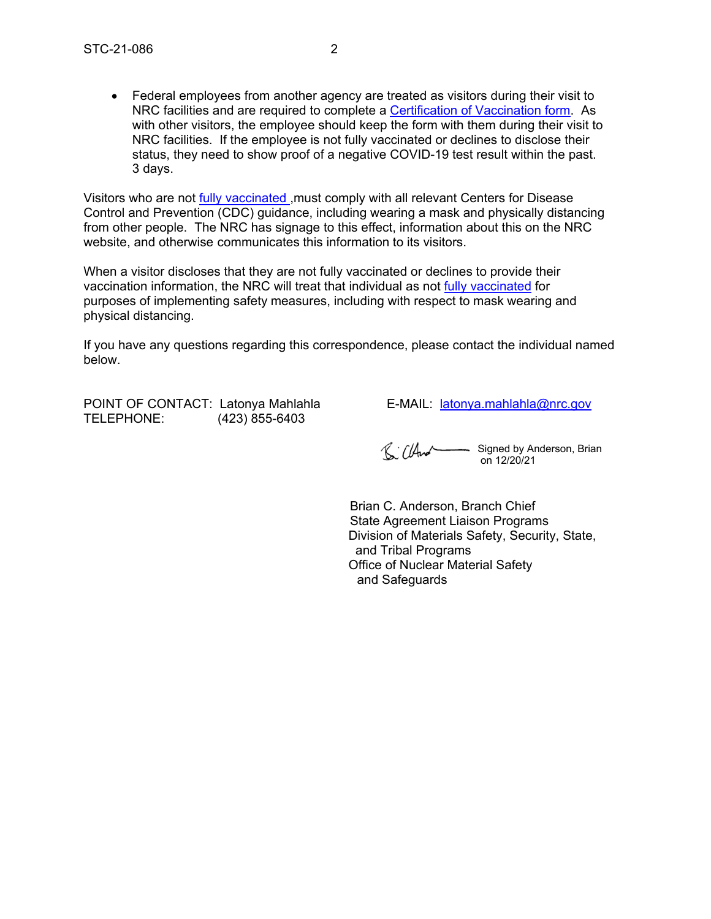Federal employees from another agency are treated as visitors during their visit to NRC facilities and are required to complete a [Certification of Vaccination form](https://www.saferfederalworkforce.gov/downloads/CertificationVaccinationPRAv7.pdf). As with other visitors, the employee should keep the form with them during their visit to NRC facilities. If the employee is not fully vaccinated or declines to disclose their status, they need to show proof of a negative COVID-19 test result within the past. 3 days.

Visitors who are not [fully vaccinated ,m](https://www.cdc.gov/coronavirus/2019-ncov/vaccines/fully-vaccinated-guidance.html)ust comply with all relevant Centers for Disease Control and Prevention (CDC) guidance, including wearing a mask and physically distancing from other people. The NRC has signage to this effect, information about this on the NRC website, and otherwise communicates this information to its visitors.

When a visitor discloses that they are not fully vaccinated or declines to provide their vaccination information, the NRC will treat that individual as not [fully vaccinated f](https://www.cdc.gov/coronavirus/2019-ncov/vaccines/fully-vaccinated-guidance.html)or purposes of implementing safety measures, including with respect to mask wearing and physical distancing.

If you have any questions regarding this correspondence, please contact the individual named below.

POINT OF CONTACT: Latonya Mahlahla E-MAIL: [latonya.mahlahla@nrc.gov](mailto:latonya.mahlahla@nrc.gov) TELEPHONE: (423) 855-6403

 $\mathbb{C}$   $\mathbb{C}$   $\mathbb{A}$   $\mathbb{C}$   $\mathbb{C}$   $\mathbb{C}$   $\mathbb{C}$   $\mathbb{C}$   $\mathbb{C}$   $\mathbb{C}$   $\mathbb{C}$   $\mathbb{C}$   $\mathbb{C}$   $\mathbb{C}$   $\mathbb{C}$   $\mathbb{C}$   $\mathbb{C}$   $\mathbb{C}$   $\mathbb{C}$   $\mathbb{C}$   $\mathbb{C}$   $\mathbb{C}$   $\mathbb{C}$   $\mathbb{C}$   $\mathbb{$ on 12/20/21

Brian C. Anderson, Branch Chief State Agreement Liaison Programs Division of Materials Safety, Security, State, and Tribal Programs Office of Nuclear Material Safety and Safeguards